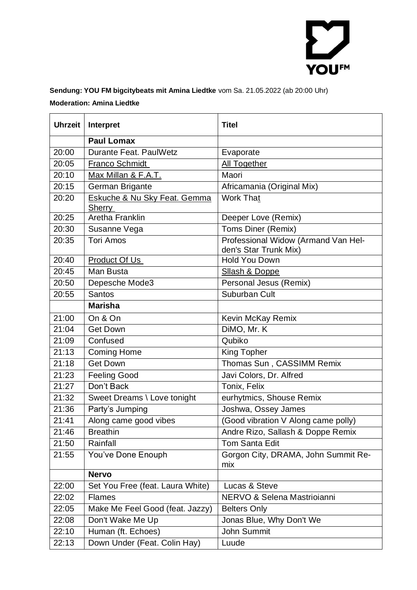

## **Sendung: YOU FM bigcitybeats mit Amina Liedtke** vom Sa. 21.05.2022 (ab 20:00 Uhr) **Moderation: Amina Liedtke**

| <b>Uhrzeit</b> | Interpret                                     | <b>Titel</b>                                                 |
|----------------|-----------------------------------------------|--------------------------------------------------------------|
|                | <b>Paul Lomax</b>                             |                                                              |
| 20:00          | Durante Feat, PaulWetz                        | Evaporate                                                    |
| 20:05          | <b>Franco Schmidt</b>                         | All Together                                                 |
| 20:10          | Max Millan & F.A.T.                           | Maori                                                        |
| 20:15          | German Brigante                               | Africamania (Original Mix)                                   |
| 20:20          | Eskuche & Nu Sky Feat. Gemma<br><b>Sherry</b> | <b>Work That</b>                                             |
| 20:25          | Aretha Franklin                               | Deeper Love (Remix)                                          |
| 20:30          | Susanne Vega                                  | Toms Diner (Remix)                                           |
| 20:35          | <b>Tori Amos</b>                              | Professional Widow (Armand Van Hel-<br>den's Star Trunk Mix) |
| 20:40          | Product Of Us                                 | <b>Hold You Down</b>                                         |
| 20:45          | Man Busta                                     | <b>Sllash &amp; Doppe</b>                                    |
| 20:50          | Depesche Mode3                                | Personal Jesus (Remix)                                       |
| 20:55          | <b>Santos</b>                                 | Suburban Cult                                                |
|                | <b>Marisha</b>                                |                                                              |
| 21:00          | On & On                                       | Kevin McKay Remix                                            |
| 21:04          | <b>Get Down</b>                               | DiMO, Mr. K                                                  |
| 21:09          | Confused                                      | Qubiko                                                       |
| 21:13          | <b>Coming Home</b>                            | <b>King Topher</b>                                           |
| 21:18          | <b>Get Down</b>                               | Thomas Sun, CASSIMM Remix                                    |
| 21:23          | <b>Feeling Good</b>                           | Javi Colors, Dr. Alfred                                      |
| 21:27          | Don't Back                                    | Tonix, Felix                                                 |
| 21:32          | Sweet Dreams \ Love tonight                   | eurhytmics, Shouse Remix                                     |
| 21:36          | Party's Jumping                               | Joshwa, Ossey James                                          |
| 21:41          | Along came good vibes                         | (Good vibration V Along came polly)                          |
| 21:46          | <b>Breathin</b>                               | Andre Rizo, Sallash & Doppe Remix                            |
| 21:50          | Rainfall                                      | <b>Tom Santa Edit</b>                                        |
| 21:55          | You've Done Enouph                            | Gorgon City, DRAMA, John Summit Re-<br>mix                   |
|                | <b>Nervo</b>                                  |                                                              |
| 22:00          | Set You Free (feat. Laura White)              | Lucas & Steve                                                |
| 22:02          | <b>Flames</b>                                 | NERVO & Selena Mastrioianni                                  |
| 22:05          | Make Me Feel Good (feat. Jazzy)               | <b>Belters Only</b>                                          |
| 22:08          | Don't Wake Me Up                              | Jonas Blue, Why Don't We                                     |
| 22:10          | Human (ft. Echoes)                            | John Summit                                                  |
| 22:13          | Down Under (Feat. Colin Hay)                  | Luude                                                        |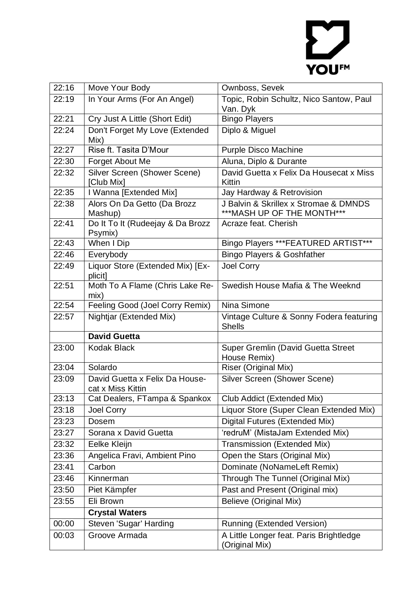

| 22:16 | Move Your Body                                      | Ownboss, Sevek                                            |
|-------|-----------------------------------------------------|-----------------------------------------------------------|
| 22:19 | In Your Arms (For An Angel)                         | Topic, Robin Schultz, Nico Santow, Paul                   |
|       |                                                     | Van. Dyk                                                  |
| 22:21 | Cry Just A Little (Short Edit)                      | <b>Bingo Players</b>                                      |
| 22:24 | Don't Forget My Love (Extended<br>Mix)              | Diplo & Miguel                                            |
| 22:27 | Rise ft. Tasita D'Mour                              | <b>Purple Disco Machine</b>                               |
| 22:30 | Forget About Me                                     | Aluna, Diplo & Durante                                    |
| 22:32 | Silver Screen (Shower Scene)<br>[Club Mix]          | David Guetta x Felix Da Housecat x Miss<br>Kittin         |
| 22:35 | I Wanna [Extended Mix]                              | Jay Hardway & Retrovision                                 |
| 22:38 | Alors On Da Getto (Da Brozz                         | J Balvin & Skrillex x Stromae & DMNDS                     |
|       | Mashup)                                             | *** MASH UP OF THE MONTH***                               |
| 22:41 | Do It To It (Rudeejay & Da Brozz<br>Psymix)         | Acraze feat. Cherish                                      |
| 22:43 | When I Dip                                          | Bingo Players *** FEATURED ARTIST***                      |
| 22:46 | Everybody                                           | Bingo Players & Goshfather                                |
| 22:49 | Liquor Store (Extended Mix) [Ex-<br>plicit]         | Joel Corry                                                |
| 22:51 | Moth To A Flame (Chris Lake Re-                     | Swedish House Mafia & The Weeknd                          |
|       | mix)                                                |                                                           |
| 22:54 | Feeling Good (Joel Corry Remix)                     | Nina Simone                                               |
| 22:57 | Nightjar (Extended Mix)                             | Vintage Culture & Sonny Fodera featuring<br><b>Shells</b> |
|       | <b>David Guetta</b>                                 |                                                           |
| 23:00 | <b>Kodak Black</b>                                  | Super Gremlin (David Guetta Street<br>House Remix)        |
| 23:04 | Solardo                                             | Riser (Original Mix)                                      |
| 23:09 | David Guetta x Felix Da House-<br>cat x Miss Kittin | Silver Screen (Shower Scene)                              |
| 23:13 | Cat Dealers, FTampa & Spankox                       | Club Addict (Extended Mix)                                |
| 23:18 | Joel Corry                                          | Liquor Store (Super Clean Extended Mix)                   |
| 23:23 | Dosem                                               | Digital Futures (Extended Mix)                            |
| 23:27 | Sorana x David Guetta                               | 'redruM' (MistaJam Extended Mix)                          |
| 23:32 | Eelke Kleijn                                        | <b>Transmission (Extended Mix)</b>                        |
| 23:36 | Angelica Fravi, Ambient Pino                        | Open the Stars (Original Mix)                             |
| 23:41 | Carbon                                              | Dominate (NoNameLeft Remix)                               |
| 23:46 | Kinnerman                                           | Through The Tunnel (Original Mix)                         |
| 23:50 | Piet Kämpfer                                        | Past and Present (Original mix)                           |
| 23:55 | Eli Brown                                           | <b>Believe (Original Mix)</b>                             |
|       | <b>Crystal Waters</b>                               |                                                           |
| 00:00 | Steven 'Sugar' Harding                              | <b>Running (Extended Version)</b>                         |
| 00:03 | Groove Armada                                       | A Little Longer feat. Paris Brightledge<br>(Original Mix) |